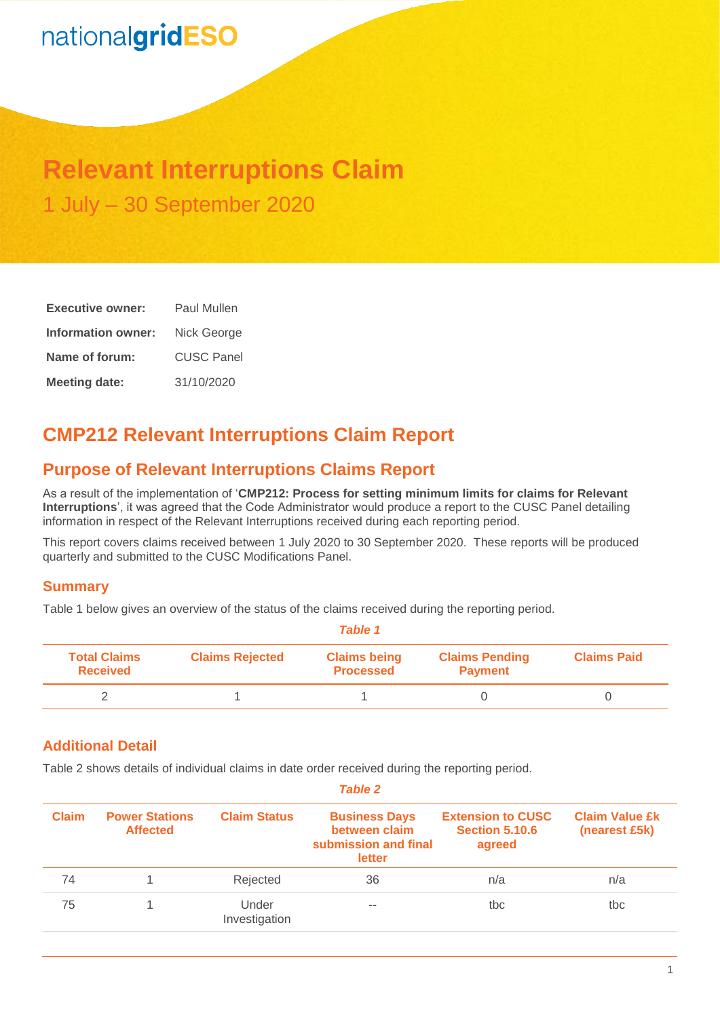# nationalgridESO

## **Relevant Interruptions Claim** 1 July – 30 September 2020

| <b>Executive owner:</b> | Paul Mullen       |  |  |
|-------------------------|-------------------|--|--|
| Information owner:      | Nick George       |  |  |
| Name of forum:          | <b>CUSC Panel</b> |  |  |
| <b>Meeting date:</b>    | 31/10/2020        |  |  |

## **CMP212 Relevant Interruptions Claim Report**

## **Purpose of Relevant Interruptions Claims Report**

As a result of the implementation of '**CMP212: Process for setting minimum limits for claims for Relevant Interruptions**', it was agreed that the Code Administrator would produce a report to the CUSC Panel detailing information in respect of the Relevant Interruptions received during each reporting period.

This report covers claims received between 1 July 2020 to 30 September 2020. These reports will be produced quarterly and submitted to the CUSC Modifications Panel.

#### **Summary**

Table 1 below gives an overview of the status of the claims received during the reporting period.

| <b>Table 1</b>                         |                        |                                         |                                         |                    |  |
|----------------------------------------|------------------------|-----------------------------------------|-----------------------------------------|--------------------|--|
| <b>Total Claims</b><br><b>Received</b> | <b>Claims Rejected</b> | <b>Claims being</b><br><b>Processed</b> | <b>Claims Pending</b><br><b>Payment</b> | <b>Claims Paid</b> |  |
|                                        |                        |                                         |                                         |                    |  |

### **Additional Detail**

Table 2 shows details of individual claims in date order received during the reporting period.

| Table Z      |                                          |                        |                                                                         |                                                             |                                        |  |
|--------------|------------------------------------------|------------------------|-------------------------------------------------------------------------|-------------------------------------------------------------|----------------------------------------|--|
| <b>Claim</b> | <b>Power Stations</b><br><b>Affected</b> | <b>Claim Status</b>    | <b>Business Days</b><br>between claim<br>submission and final<br>letter | <b>Extension to CUSC</b><br><b>Section 5.10.6</b><br>agreed | <b>Claim Value £k</b><br>(nearest £5k) |  |
| 74           |                                          | Rejected               | 36                                                                      | n/a                                                         | n/a                                    |  |
| 75           |                                          | Under<br>Investigation | $-$                                                                     | tbc                                                         | tbc                                    |  |

*Table 2*